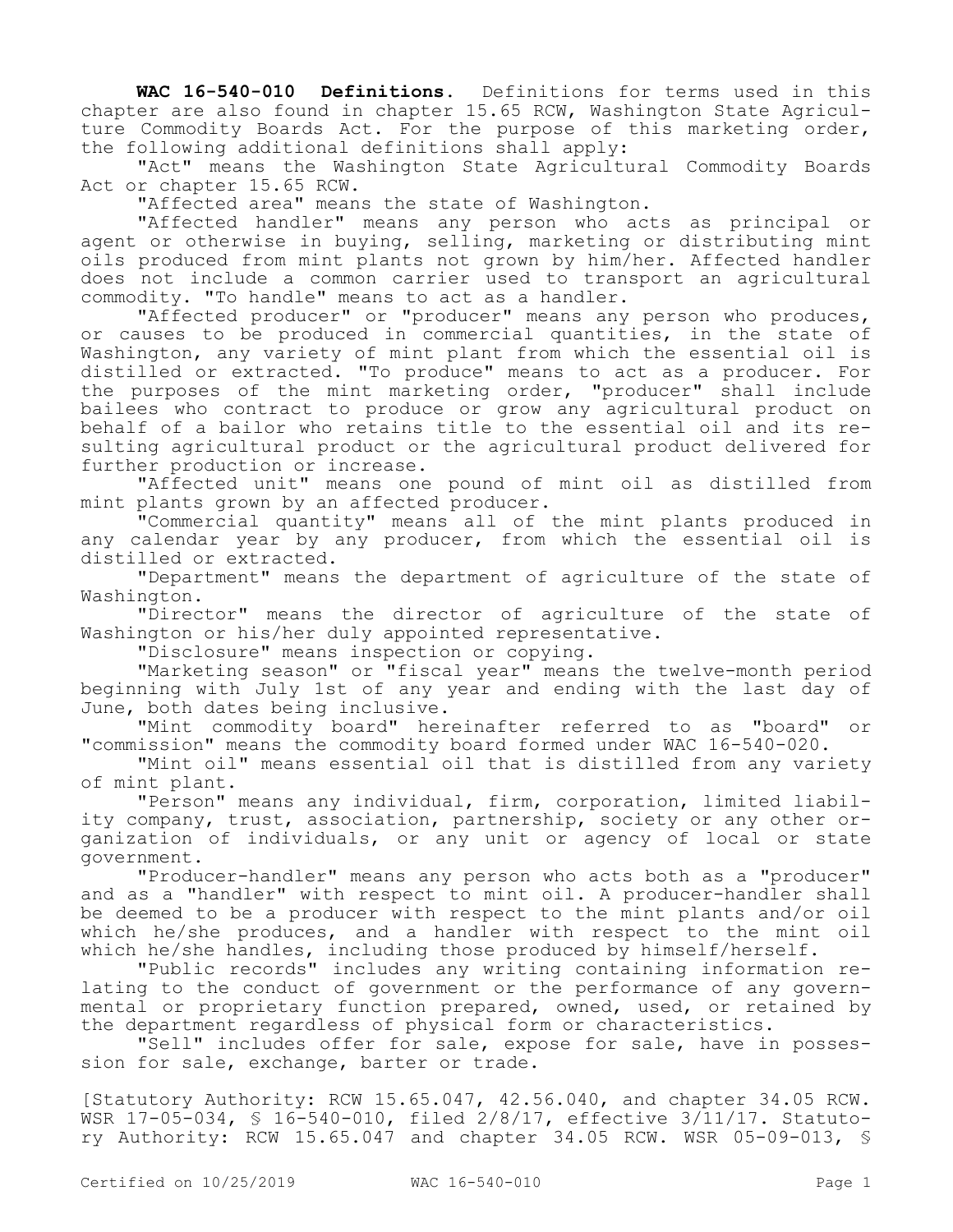**WAC 16-540-010 Definitions.** Definitions for terms used in this chapter are also found in chapter 15.65 RCW, Washington State Agriculture Commodity Boards Act. For the purpose of this marketing order, the following additional definitions shall apply:

"Act" means the Washington State Agricultural Commodity Boards Act or chapter 15.65 RCW.

"Affected area" means the state of Washington.

"Affected handler" means any person who acts as principal or agent or otherwise in buying, selling, marketing or distributing mint oils produced from mint plants not grown by him/her. Affected handler does not include a common carrier used to transport an agricultural commodity. "To handle" means to act as a handler.

"Affected producer" or "producer" means any person who produces, or causes to be produced in commercial quantities, in the state of Washington, any variety of mint plant from which the essential oil is distilled or extracted. "To produce" means to act as a producer. For the purposes of the mint marketing order, "producer" shall include bailees who contract to produce or grow any agricultural product on behalf of a bailor who retains title to the essential oil and its resulting agricultural product or the agricultural product delivered for further production or increase.

"Affected unit" means one pound of mint oil as distilled from mint plants grown by an affected producer.

"Commercial quantity" means all of the mint plants produced in any calendar year by any producer, from which the essential oil is distilled or extracted.

"Department" means the department of agriculture of the state of Washington.

"Director" means the director of agriculture of the state of Washington or his/her duly appointed representative.

"Disclosure" means inspection or copying.

"Marketing season" or "fiscal year" means the twelve-month period beginning with July 1st of any year and ending with the last day of June, both dates being inclusive.

"Mint commodity board" hereinafter referred to as "board" or "commission" means the commodity board formed under WAC 16-540-020.

"Mint oil" means essential oil that is distilled from any variety of mint plant.

"Person" means any individual, firm, corporation, limited liability company, trust, association, partnership, society or any other organization of individuals, or any unit or agency of local or state government.

"Producer-handler" means any person who acts both as a "producer" and as a "handler" with respect to mint oil. A producer-handler shall be deemed to be a producer with respect to the mint plants and/or oil which he/she produces, and a handler with respect to the mint oil which he/she handles, including those produced by himself/herself.

"Public records" includes any writing containing information relating to the conduct of government or the performance of any governmental or proprietary function prepared, owned, used, or retained by the department regardless of physical form or characteristics.

"Sell" includes offer for sale, expose for sale, have in possession for sale, exchange, barter or trade.

[Statutory Authority: RCW 15.65.047, 42.56.040, and chapter 34.05 RCW. WSR 17-05-034, § 16-540-010, filed 2/8/17, effective 3/11/17. Statutory Authority: RCW 15.65.047 and chapter 34.05 RCW. WSR 05-09-013, §